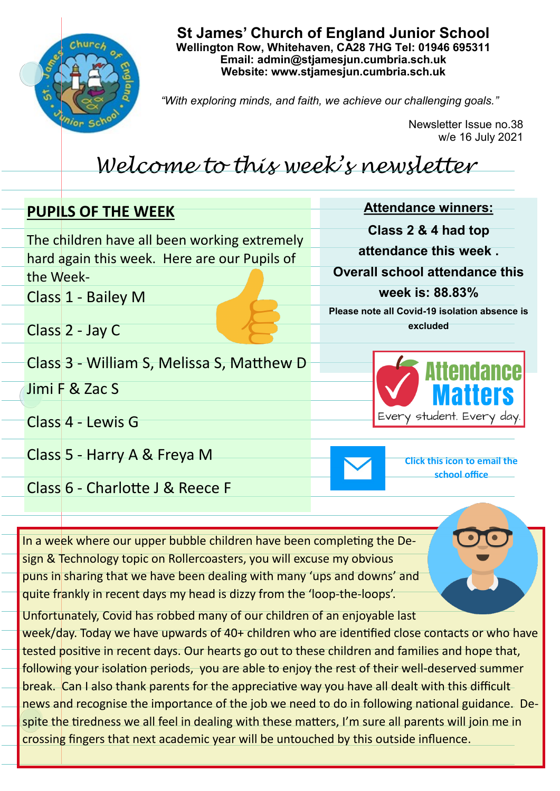

**St James' Church of England Junior School Wellington Row, Whitehaven, CA28 7HG Tel: 01946 695311 Email: admin@stjamesjun.cumbria.sch.uk Website: www.stjamesjun.cumbria.sch.uk**

*"With exploring minds, and faith, we achieve our challenging goals."*

Newsletter Issue no.38 w/e 16 July 2021

## *Welcome to this week's newsletter*

| <b>PUPILS OF THE WEEK</b>                    | <b>Attendance winners:</b>                           |
|----------------------------------------------|------------------------------------------------------|
| The children have all been working extremely | Class 2 & 4 had top                                  |
| hard again this week. Here are our Pupils of | attendance this week.                                |
| the Week-                                    | <b>Overall school attendance this</b>                |
| Class 1 - Bailey M                           | week is: 88.83%                                      |
|                                              | Please note all Covid-19 isolation absence is        |
| Class 2 - Jay C                              | excluded                                             |
| Class 3 - William S, Melissa S, Matthew D    | <b>Attendance</b>                                    |
| Jimi F & Zac S                               | <b>Matters</b>                                       |
| Class 4 - Lewis G                            | Every student. Every day                             |
| Class 5 - Harry A & Freya M                  | <b>Click this icon to email the</b><br>school office |
| Class 6 - Charlotte J & Reece F              |                                                      |
|                                              |                                                      |
|                                              |                                                      |

In a week where our upper bubble children have been completing the Design & Technology topic on Rollercoasters, you will excuse my obvious puns in sharing that we have been dealing with many 'ups and downs' and quite frankly in recent days my head is dizzy from the 'loop-the-loops'.

Unfortunately, Covid has robbed many of our children of an enjoyable last week/day. Today we have upwards of 40+ children who are identified close contacts or who have tested positive in recent days. Our hearts go out to these children and families and hope that, following your isolation periods, you are able to enjoy the rest of their well-deserved summer break. Can I also thank parents for the appreciative way you have all dealt with this difficult news and recognise the importance of the job we need to do in following national guidance. Despite the tiredness we all feel in dealing with these matters, I'm sure all parents will join me in crossing fingers that next academic year will be untouched by this outside influence.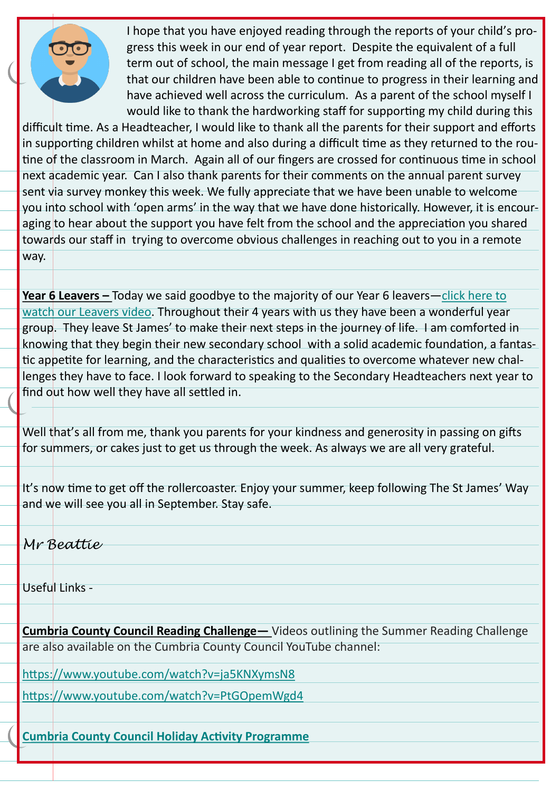

I hope that you have enjoyed reading through the reports of your child's progress this week in our end of year report. Despite the equivalent of a full term out of school, the main message I get from reading all of the reports, is that our children have been able to continue to progress in their learning and have achieved well across the curriculum. As a parent of the school myself I would like to thank the hardworking staff for supporting my child during this

difficult time. As a Headteacher, I would like to thank all the parents for their support and efforts in supporting children whilst at home and also during a difficult time as they returned to the routine of the classroom in March. Again all of our fingers are crossed for continuous time in school next academic year. Can I also thank parents for their comments on the annual parent survey sent via survey monkey this week. We fully appreciate that we have been unable to welcome you into school with 'open arms' in the way that we have done historically. However, it is encouraging to hear about the support you have felt from the school and the appreciation you shared towards our staff in trying to overcome obvious challenges in reaching out to you in a remote way.

**Year 6 Leavers –** Today we said goodbye to the majority of our Year 6 leavers—[click here to](http://www.stjamesjun.cumbria.sch.uk/work/year-6-leavers-video-2021/66767)  [watch our Leavers video.](http://www.stjamesjun.cumbria.sch.uk/work/year-6-leavers-video-2021/66767) Throughout their 4 years with us they have been a wonderful year group. They leave St James' to make their next steps in the journey of life. I am comforted in knowing that they begin their new secondary school with a solid academic foundation, a fantastic appetite for learning, and the characteristics and qualities to overcome whatever new challenges they have to face. I look forward to speaking to the Secondary Headteachers next year to find out how well they have all settled in.

Well that's all from me, thank you parents for your kindness and generosity in passing on gifts for summers, or cakes just to get us through the week. As always we are all very grateful.

It's now time to get off the rollercoaster. Enjoy your summer, keep following The St James' Way and we will see you all in September. Stay safe.

*Mr Beattie*

Useful Links -

**Cumbria County Council Reading Challenge—** Videos outlining the Summer Reading Challenge are also available on the Cumbria County Council YouTube channel:

<https://www.youtube.com/watch?v=ja5KNXymsN8>

<https://www.youtube.com/watch?v=PtGOpemWgd4>

**[Cumbria County Council Holiday Activity Programme](https://content.govdelivery.com/attachments/UKCCC/2021/06/29/file_attachments/1865801/Cumbria%20Holiday%20Activity%20Programme%20-%20BOOK%20NOW.pdf)**